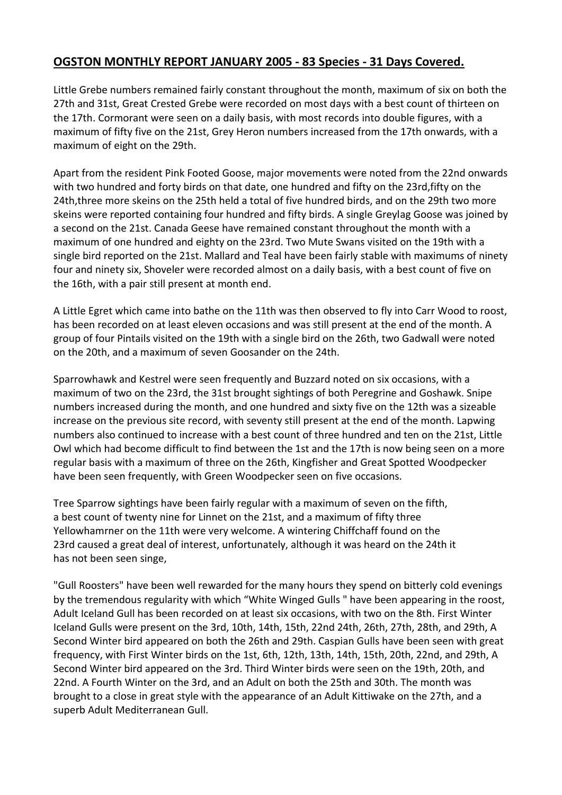## **OGSTON MONTHLY REPORT JANUARY 2005 - 83 Species - 31 Days Covered.**

Little Grebe numbers remained fairly constant throughout the month, maximum of six on both the 27th and 31st, Great Crested Grebe were recorded on most days with a best count of thirteen on the 17th. Cormorant were seen on a daily basis, with most records into double figures, with a maximum of fifty five on the 21st, Grey Heron numbers increased from the 17th onwards, with a maximum of eight on the 29th.

Apart from the resident Pink Footed Goose, major movements were noted from the 22nd onwards with two hundred and forty birds on that date, one hundred and fifty on the 23rd,fifty on the 24th,three more skeins on the 25th held a total of five hundred birds, and on the 29th two more skeins were reported containing four hundred and fifty birds. A single Greylag Goose was joined by a second on the 21st. Canada Geese have remained constant throughout the month with a maximum of one hundred and eighty on the 23rd. Two Mute Swans visited on the 19th with a single bird reported on the 21st. Mallard and Teal have been fairly stable with maximums of ninety four and ninety six, Shoveler were recorded almost on a daily basis, with a best count of five on the 16th, with a pair still present at month end.

A Little Egret which came into bathe on the 11th was then observed to fly into Carr Wood to roost, has been recorded on at least eleven occasions and was still present at the end of the month. A group of four Pintails visited on the 19th with a single bird on the 26th, two Gadwall were noted on the 20th, and a maximum of seven Goosander on the 24th.

Sparrowhawk and Kestrel were seen frequently and Buzzard noted on six occasions, with a maximum of two on the 23rd, the 31st brought sightings of both Peregrine and Goshawk. Snipe numbers increased during the month, and one hundred and sixty five on the 12th was a sizeable increase on the previous site record, with seventy still present at the end of the month. Lapwing numbers also continued to increase with a best count of three hundred and ten on the 21st, Little Owl which had become difficult to find between the 1st and the 17th is now being seen on a more regular basis with a maximum of three on the 26th, Kingfisher and Great Spotted Woodpecker have been seen frequently, with Green Woodpecker seen on five occasions.

Tree Sparrow sightings have been fairly regular with a maximum of seven on the fifth, a best count of twenty nine for Linnet on the 21st, and a maximum of fifty three Yellowhamrner on the 11th were very welcome. A wintering Chiffchaff found on the 23rd caused a great deal of interest, unfortunately, although it was heard on the 24th it has not been seen singe,

"Gull Roosters" have been well rewarded for the many hours they spend on bitterly cold evenings by the tremendous regularity with which "White Winged Gulls " have been appearing in the roost, Adult Iceland Gull has been recorded on at least six occasions, with two on the 8th. First Winter Iceland Gulls were present on the 3rd, 10th, 14th, 15th, 22nd 24th, 26th, 27th, 28th, and 29th, A Second Winter bird appeared on both the 26th and 29th. Caspian Gulls have been seen with great frequency, with First Winter birds on the 1st, 6th, 12th, 13th, 14th, 15th, 20th, 22nd, and 29th, A Second Winter bird appeared on the 3rd. Third Winter birds were seen on the 19th, 20th, and 22nd. A Fourth Winter on the 3rd, and an Adult on both the 25th and 30th. The month was brought to a close in great style with the appearance of an Adult Kittiwake on the 27th, and a superb Adult Mediterranean Gull.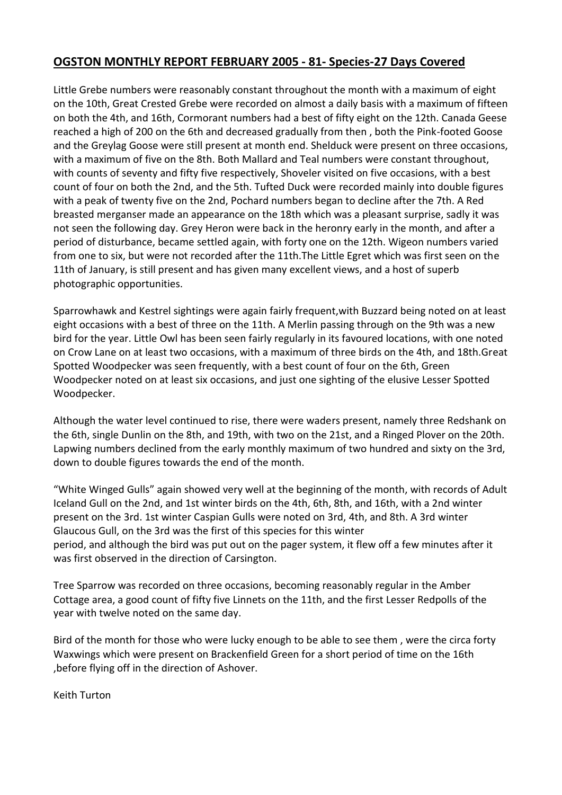### **OGSTON MONTHLY REPORT FEBRUARY 2005 - 81- Species-27 Days Covered**

Little Grebe numbers were reasonably constant throughout the month with a maximum of eight on the 10th, Great Crested Grebe were recorded on almost a daily basis with a maximum of fifteen on both the 4th, and 16th, Cormorant numbers had a best of fifty eight on the 12th. Canada Geese reached a high of 200 on the 6th and decreased gradually from then , both the Pink-footed Goose and the Greylag Goose were still present at month end. Shelduck were present on three occasions, with a maximum of five on the 8th. Both Mallard and Teal numbers were constant throughout, with counts of seventy and fifty five respectively, Shoveler visited on five occasions, with a best count of four on both the 2nd, and the 5th. Tufted Duck were recorded mainly into double figures with a peak of twenty five on the 2nd, Pochard numbers began to decline after the 7th. A Red breasted merganser made an appearance on the 18th which was a pleasant surprise, sadly it was not seen the following day. Grey Heron were back in the heronry early in the month, and after a period of disturbance, became settled again, with forty one on the 12th. Wigeon numbers varied from one to six, but were not recorded after the 11th.The Little Egret which was first seen on the 11th of January, is still present and has given many excellent views, and a host of superb photographic opportunities.

Sparrowhawk and Kestrel sightings were again fairly frequent,with Buzzard being noted on at least eight occasions with a best of three on the 11th. A Merlin passing through on the 9th was a new bird for the year. Little Owl has been seen fairly regularly in its favoured locations, with one noted on Crow Lane on at least two occasions, with a maximum of three birds on the 4th, and 18th.Great Spotted Woodpecker was seen frequently, with a best count of four on the 6th, Green Woodpecker noted on at least six occasions, and just one sighting of the elusive Lesser Spotted Woodpecker.

Although the water level continued to rise, there were waders present, namely three Redshank on the 6th, single Dunlin on the 8th, and 19th, with two on the 21st, and a Ringed Plover on the 20th. Lapwing numbers declined from the early monthly maximum of two hundred and sixty on the 3rd, down to double figures towards the end of the month.

"White Winged Gulls" again showed very well at the beginning of the month, with records of Adult Iceland Gull on the 2nd, and 1st winter birds on the 4th, 6th, 8th, and 16th, with a 2nd winter present on the 3rd. 1st winter Caspian Gulls were noted on 3rd, 4th, and 8th. A 3rd winter Glaucous Gull, on the 3rd was the first of this species for this winter period, and although the bird was put out on the pager system, it flew off a few minutes after it was first observed in the direction of Carsington.

Tree Sparrow was recorded on three occasions, becoming reasonably regular in the Amber Cottage area, a good count of fifty five Linnets on the 11th, and the first Lesser Redpolls of the year with twelve noted on the same day.

Bird of the month for those who were lucky enough to be able to see them , were the circa forty Waxwings which were present on Brackenfield Green for a short period of time on the 16th ,before flying off in the direction of Ashover.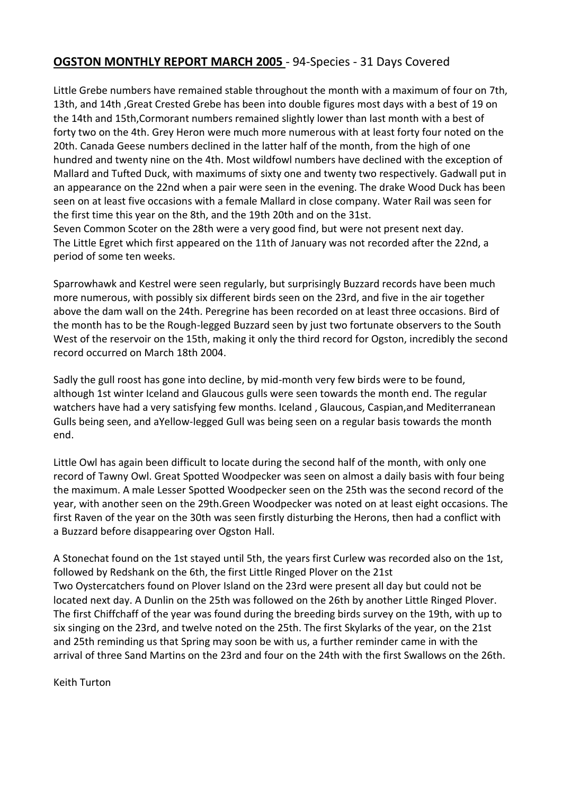# **OGSTON MONTHLY REPORT MARCH 2005** - 94-Species - 31 Days Covered

Little Grebe numbers have remained stable throughout the month with a maximum of four on 7th, 13th, and 14th ,Great Crested Grebe has been into double figures most days with a best of 19 on the 14th and 15th,Cormorant numbers remained slightly lower than last month with a best of forty two on the 4th. Grey Heron were much more numerous with at least forty four noted on the 20th. Canada Geese numbers declined in the latter half of the month, from the high of one hundred and twenty nine on the 4th. Most wildfowl numbers have declined with the exception of Mallard and Tufted Duck, with maximums of sixty one and twenty two respectively. Gadwall put in an appearance on the 22nd when a pair were seen in the evening. The drake Wood Duck has been seen on at least five occasions with a female Mallard in close company. Water Rail was seen for the first time this year on the 8th, and the 19th 20th and on the 31st.

Seven Common Scoter on the 28th were a very good find, but were not present next day. The Little Egret which first appeared on the 11th of January was not recorded after the 22nd, a period of some ten weeks.

Sparrowhawk and Kestrel were seen regularly, but surprisingly Buzzard records have been much more numerous, with possibly six different birds seen on the 23rd, and five in the air together above the dam wall on the 24th. Peregrine has been recorded on at least three occasions. Bird of the month has to be the Rough-legged Buzzard seen by just two fortunate observers to the South West of the reservoir on the 15th, making it only the third record for Ogston, incredibly the second record occurred on March 18th 2004.

Sadly the gull roost has gone into decline, by mid-month very few birds were to be found, although 1st winter Iceland and Glaucous gulls were seen towards the month end. The regular watchers have had a very satisfying few months. Iceland , Glaucous, Caspian,and Mediterranean Gulls being seen, and aYellow-legged Gull was being seen on a regular basis towards the month end.

Little Owl has again been difficult to locate during the second half of the month, with only one record of Tawny Owl. Great Spotted Woodpecker was seen on almost a daily basis with four being the maximum. A male Lesser Spotted Woodpecker seen on the 25th was the second record of the year, with another seen on the 29th.Green Woodpecker was noted on at least eight occasions. The first Raven of the year on the 30th was seen firstly disturbing the Herons, then had a conflict with a Buzzard before disappearing over Ogston Hall.

A Stonechat found on the 1st stayed until 5th, the years first Curlew was recorded also on the 1st, followed by Redshank on the 6th, the first Little Ringed Plover on the 21st Two Oystercatchers found on Plover Island on the 23rd were present all day but could not be located next day. A Dunlin on the 25th was followed on the 26th by another Little Ringed Plover. The first Chiffchaff of the year was found during the breeding birds survey on the 19th, with up to six singing on the 23rd, and twelve noted on the 25th. The first Skylarks of the year, on the 21st and 25th reminding us that Spring may soon be with us, a further reminder came in with the arrival of three Sand Martins on the 23rd and four on the 24th with the first Swallows on the 26th.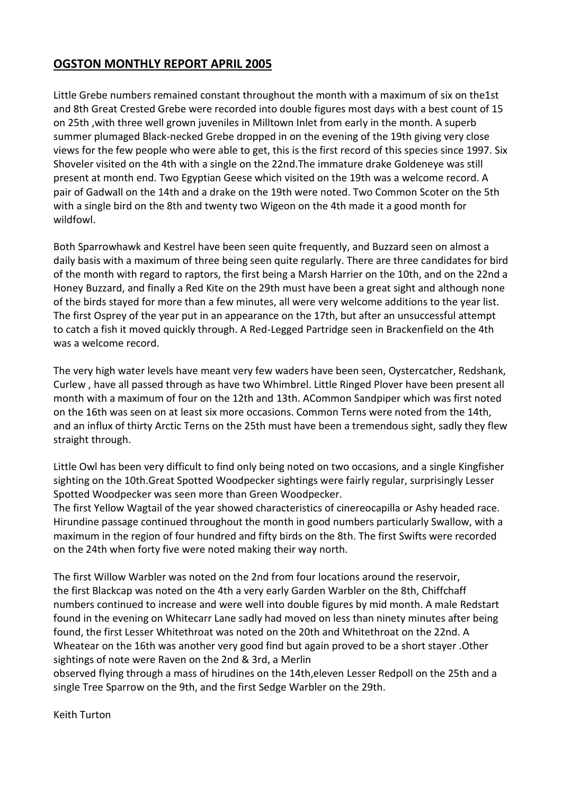#### **OGSTON MONTHLY REPORT APRIL 2005**

Little Grebe numbers remained constant throughout the month with a maximum of six on the1st and 8th Great Crested Grebe were recorded into double figures most days with a best count of 15 on 25th ,with three well grown juveniles in Milltown Inlet from early in the month. A superb summer plumaged Black-necked Grebe dropped in on the evening of the 19th giving very close views for the few people who were able to get, this is the first record of this species since 1997. Six Shoveler visited on the 4th with a single on the 22nd.The immature drake Goldeneye was still present at month end. Two Egyptian Geese which visited on the 19th was a welcome record. A pair of Gadwall on the 14th and a drake on the 19th were noted. Two Common Scoter on the 5th with a single bird on the 8th and twenty two Wigeon on the 4th made it a good month for wildfowl.

Both Sparrowhawk and Kestrel have been seen quite frequently, and Buzzard seen on almost a daily basis with a maximum of three being seen quite regularly. There are three candidates for bird of the month with regard to raptors, the first being a Marsh Harrier on the 10th, and on the 22nd a Honey Buzzard, and finally a Red Kite on the 29th must have been a great sight and although none of the birds stayed for more than a few minutes, all were very welcome additions to the year list. The first Osprey of the year put in an appearance on the 17th, but after an unsuccessful attempt to catch a fish it moved quickly through. A Red-Legged Partridge seen in Brackenfield on the 4th was a welcome record.

The very high water levels have meant very few waders have been seen, Oystercatcher, Redshank, Curlew , have all passed through as have two Whimbrel. Little Ringed Plover have been present all month with a maximum of four on the 12th and 13th. ACommon Sandpiper which was first noted on the 16th was seen on at least six more occasions. Common Terns were noted from the 14th, and an influx of thirty Arctic Terns on the 25th must have been a tremendous sight, sadly they flew straight through.

Little Owl has been very difficult to find only being noted on two occasions, and a single Kingfisher sighting on the 10th.Great Spotted Woodpecker sightings were fairly regular, surprisingly Lesser Spotted Woodpecker was seen more than Green Woodpecker.

The first Yellow Wagtail of the year showed characteristics of cinereocapilla or Ashy headed race. Hirundine passage continued throughout the month in good numbers particularly Swallow, with a maximum in the region of four hundred and fifty birds on the 8th. The first Swifts were recorded on the 24th when forty five were noted making their way north.

The first Willow Warbler was noted on the 2nd from four locations around the reservoir, the first Blackcap was noted on the 4th a very early Garden Warbler on the 8th, Chiffchaff numbers continued to increase and were well into double figures by mid month. A male Redstart found in the evening on Whitecarr Lane sadly had moved on less than ninety minutes after being found, the first Lesser Whitethroat was noted on the 20th and Whitethroat on the 22nd. A Wheatear on the 16th was another very good find but again proved to be a short stayer .Other sightings of note were Raven on the 2nd & 3rd, a Merlin

observed flying through a mass of hirudines on the 14th,eleven Lesser Redpoll on the 25th and a single Tree Sparrow on the 9th, and the first Sedge Warbler on the 29th.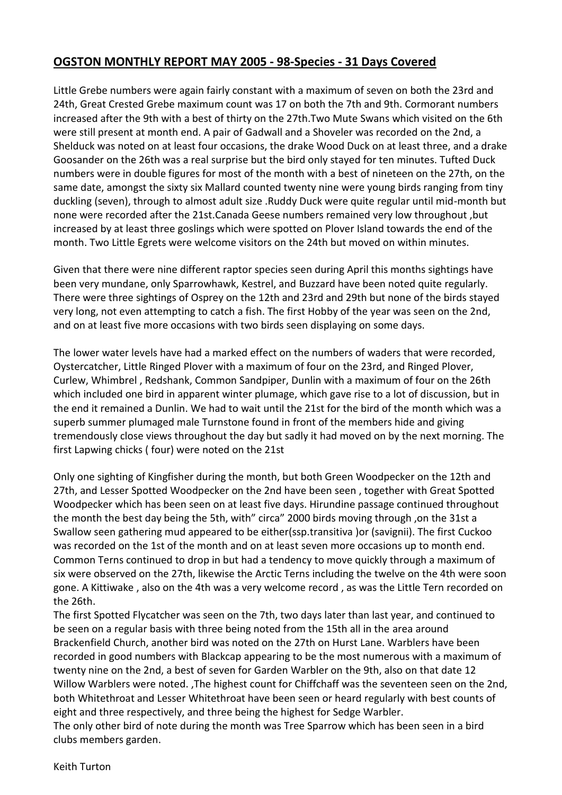### **OGSTON MONTHLY REPORT MAY 2005 - 98-Species - 31 Days Covered**

Little Grebe numbers were again fairly constant with a maximum of seven on both the 23rd and 24th, Great Crested Grebe maximum count was 17 on both the 7th and 9th. Cormorant numbers increased after the 9th with a best of thirty on the 27th.Two Mute Swans which visited on the 6th were still present at month end. A pair of Gadwall and a Shoveler was recorded on the 2nd, a Shelduck was noted on at least four occasions, the drake Wood Duck on at least three, and a drake Goosander on the 26th was a real surprise but the bird only stayed for ten minutes. Tufted Duck numbers were in double figures for most of the month with a best of nineteen on the 27th, on the same date, amongst the sixty six Mallard counted twenty nine were young birds ranging from tiny duckling (seven), through to almost adult size .Ruddy Duck were quite regular until mid-month but none were recorded after the 21st.Canada Geese numbers remained very low throughout ,but increased by at least three goslings which were spotted on Plover Island towards the end of the month. Two Little Egrets were welcome visitors on the 24th but moved on within minutes.

Given that there were nine different raptor species seen during April this months sightings have been very mundane, only Sparrowhawk, Kestrel, and Buzzard have been noted quite regularly. There were three sightings of Osprey on the 12th and 23rd and 29th but none of the birds stayed very long, not even attempting to catch a fish. The first Hobby of the year was seen on the 2nd, and on at least five more occasions with two birds seen displaying on some days.

The lower water levels have had a marked effect on the numbers of waders that were recorded, Oystercatcher, Little Ringed Plover with a maximum of four on the 23rd, and Ringed Plover, Curlew, Whimbrel , Redshank, Common Sandpiper, Dunlin with a maximum of four on the 26th which included one bird in apparent winter plumage, which gave rise to a lot of discussion, but in the end it remained a Dunlin. We had to wait until the 21st for the bird of the month which was a superb summer plumaged male Turnstone found in front of the members hide and giving tremendously close views throughout the day but sadly it had moved on by the next morning. The first Lapwing chicks ( four) were noted on the 21st

Only one sighting of Kingfisher during the month, but both Green Woodpecker on the 12th and 27th, and Lesser Spotted Woodpecker on the 2nd have been seen , together with Great Spotted Woodpecker which has been seen on at least five days. Hirundine passage continued throughout the month the best day being the 5th, with" circa" 2000 birds moving through ,on the 31st a Swallow seen gathering mud appeared to be either(ssp.transitiva )or (savignii). The first Cuckoo was recorded on the 1st of the month and on at least seven more occasions up to month end. Common Terns continued to drop in but had a tendency to move quickly through a maximum of six were observed on the 27th, likewise the Arctic Terns including the twelve on the 4th were soon gone. A Kittiwake , also on the 4th was a very welcome record , as was the Little Tern recorded on the 26th.

The first Spotted Flycatcher was seen on the 7th, two days later than last year, and continued to be seen on a regular basis with three being noted from the 15th all in the area around Brackenfield Church, another bird was noted on the 27th on Hurst Lane. Warblers have been recorded in good numbers with Blackcap appearing to be the most numerous with a maximum of twenty nine on the 2nd, a best of seven for Garden Warbler on the 9th, also on that date 12 Willow Warblers were noted. ,The highest count for Chiffchaff was the seventeen seen on the 2nd, both Whitethroat and Lesser Whitethroat have been seen or heard regularly with best counts of eight and three respectively, and three being the highest for Sedge Warbler. The only other bird of note during the month was Tree Sparrow which has been seen in a bird clubs members garden.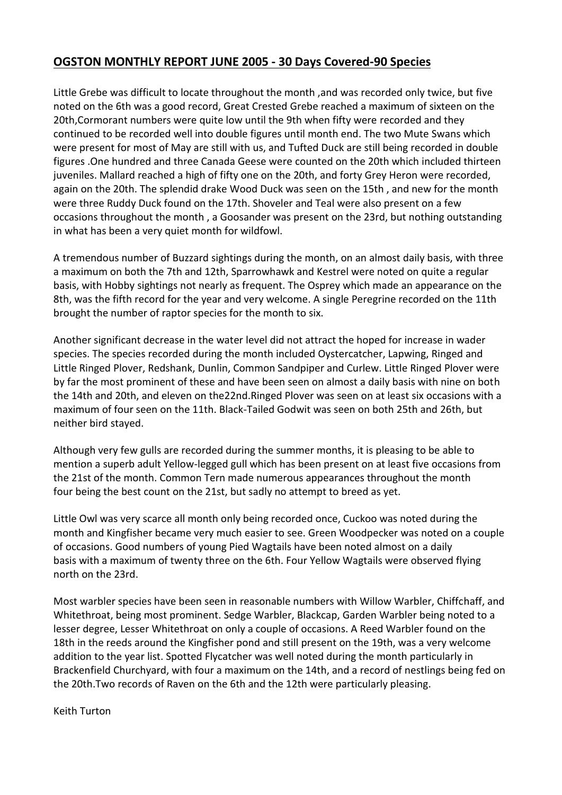### **OGSTON MONTHLY REPORT JUNE 2005 - 30 Days Covered-90 Species**

Little Grebe was difficult to locate throughout the month ,and was recorded only twice, but five noted on the 6th was a good record, Great Crested Grebe reached a maximum of sixteen on the 20th,Cormorant numbers were quite low until the 9th when fifty were recorded and they continued to be recorded well into double figures until month end. The two Mute Swans which were present for most of May are still with us, and Tufted Duck are still being recorded in double figures .One hundred and three Canada Geese were counted on the 20th which included thirteen juveniles. Mallard reached a high of fifty one on the 20th, and forty Grey Heron were recorded, again on the 20th. The splendid drake Wood Duck was seen on the 15th , and new for the month were three Ruddy Duck found on the 17th. Shoveler and Teal were also present on a few occasions throughout the month , a Goosander was present on the 23rd, but nothing outstanding in what has been a very quiet month for wildfowl.

A tremendous number of Buzzard sightings during the month, on an almost daily basis, with three a maximum on both the 7th and 12th, Sparrowhawk and Kestrel were noted on quite a regular basis, with Hobby sightings not nearly as frequent. The Osprey which made an appearance on the 8th, was the fifth record for the year and very welcome. A single Peregrine recorded on the 11th brought the number of raptor species for the month to six.

Another significant decrease in the water level did not attract the hoped for increase in wader species. The species recorded during the month included Oystercatcher, Lapwing, Ringed and Little Ringed Plover, Redshank, Dunlin, Common Sandpiper and Curlew. Little Ringed Plover were by far the most prominent of these and have been seen on almost a daily basis with nine on both the 14th and 20th, and eleven on the22nd.Ringed Plover was seen on at least six occasions with a maximum of four seen on the 11th. Black-Tailed Godwit was seen on both 25th and 26th, but neither bird stayed.

Although very few gulls are recorded during the summer months, it is pleasing to be able to mention a superb adult Yellow-legged gull which has been present on at least five occasions from the 21st of the month. Common Tern made numerous appearances throughout the month four being the best count on the 21st, but sadly no attempt to breed as yet.

Little Owl was very scarce all month only being recorded once, Cuckoo was noted during the month and Kingfisher became very much easier to see. Green Woodpecker was noted on a couple of occasions. Good numbers of young Pied Wagtails have been noted almost on a daily basis with a maximum of twenty three on the 6th. Four Yellow Wagtails were observed flying north on the 23rd.

Most warbler species have been seen in reasonable numbers with Willow Warbler, Chiffchaff, and Whitethroat, being most prominent. Sedge Warbler, Blackcap, Garden Warbler being noted to a lesser degree, Lesser Whitethroat on only a couple of occasions. A Reed Warbler found on the 18th in the reeds around the Kingfisher pond and still present on the 19th, was a very welcome addition to the year list. Spotted Flycatcher was well noted during the month particularly in Brackenfield Churchyard, with four a maximum on the 14th, and a record of nestlings being fed on the 20th.Two records of Raven on the 6th and the 12th were particularly pleasing.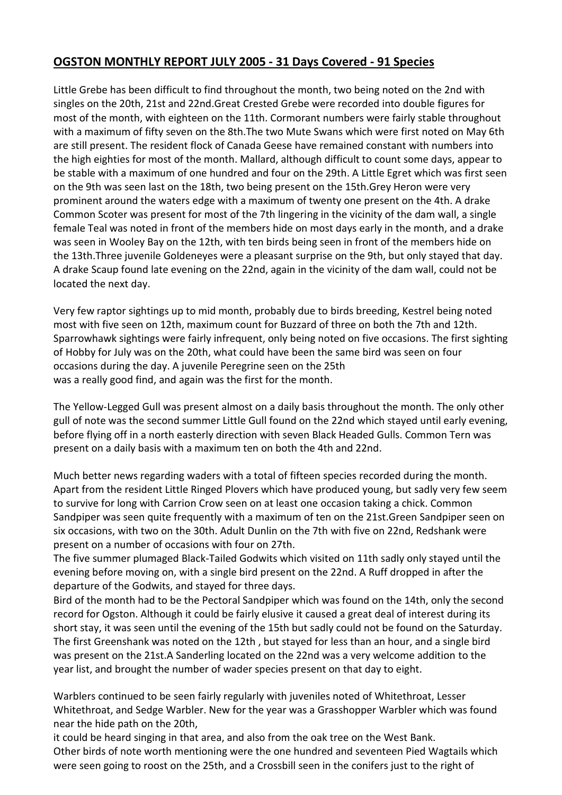# **OGSTON MONTHLY REPORT JULY 2005 - 31 Days Covered - 91 Species**

Little Grebe has been difficult to find throughout the month, two being noted on the 2nd with singles on the 20th, 21st and 22nd.Great Crested Grebe were recorded into double figures for most of the month, with eighteen on the 11th. Cormorant numbers were fairly stable throughout with a maximum of fifty seven on the 8th.The two Mute Swans which were first noted on May 6th are still present. The resident flock of Canada Geese have remained constant with numbers into the high eighties for most of the month. Mallard, although difficult to count some days, appear to be stable with a maximum of one hundred and four on the 29th. A Little Egret which was first seen on the 9th was seen last on the 18th, two being present on the 15th.Grey Heron were very prominent around the waters edge with a maximum of twenty one present on the 4th. A drake Common Scoter was present for most of the 7th lingering in the vicinity of the dam wall, a single female Teal was noted in front of the members hide on most days early in the month, and a drake was seen in Wooley Bay on the 12th, with ten birds being seen in front of the members hide on the 13th.Three juvenile Goldeneyes were a pleasant surprise on the 9th, but only stayed that day. A drake Scaup found late evening on the 22nd, again in the vicinity of the dam wall, could not be located the next day.

Very few raptor sightings up to mid month, probably due to birds breeding, Kestrel being noted most with five seen on 12th, maximum count for Buzzard of three on both the 7th and 12th. Sparrowhawk sightings were fairly infrequent, only being noted on five occasions. The first sighting of Hobby for July was on the 20th, what could have been the same bird was seen on four occasions during the day. A juvenile Peregrine seen on the 25th was a really good find, and again was the first for the month.

The Yellow-Legged Gull was present almost on a daily basis throughout the month. The only other gull of note was the second summer Little Gull found on the 22nd which stayed until early evening, before flying off in a north easterly direction with seven Black Headed Gulls. Common Tern was present on a daily basis with a maximum ten on both the 4th and 22nd.

Much better news regarding waders with a total of fifteen species recorded during the month. Apart from the resident Little Ringed Plovers which have produced young, but sadly very few seem to survive for long with Carrion Crow seen on at least one occasion taking a chick. Common Sandpiper was seen quite frequently with a maximum of ten on the 21st.Green Sandpiper seen on six occasions, with two on the 30th. Adult Dunlin on the 7th with five on 22nd, Redshank were present on a number of occasions with four on 27th.

The five summer plumaged Black-Tailed Godwits which visited on 11th sadly only stayed until the evening before moving on, with a single bird present on the 22nd. A Ruff dropped in after the departure of the Godwits, and stayed for three days.

Bird of the month had to be the Pectoral Sandpiper which was found on the 14th, only the second record for Ogston. Although it could be fairly elusive it caused a great deal of interest during its short stay, it was seen until the evening of the 15th but sadly could not be found on the Saturday. The first Greenshank was noted on the 12th , but stayed for less than an hour, and a single bird was present on the 21st.A Sanderling located on the 22nd was a very welcome addition to the year list, and brought the number of wader species present on that day to eight.

Warblers continued to be seen fairly regularly with juveniles noted of Whitethroat, Lesser Whitethroat, and Sedge Warbler. New for the year was a Grasshopper Warbler which was found near the hide path on the 20th,

it could be heard singing in that area, and also from the oak tree on the West Bank. Other birds of note worth mentioning were the one hundred and seventeen Pied Wagtails which were seen going to roost on the 25th, and a Crossbill seen in the conifers just to the right of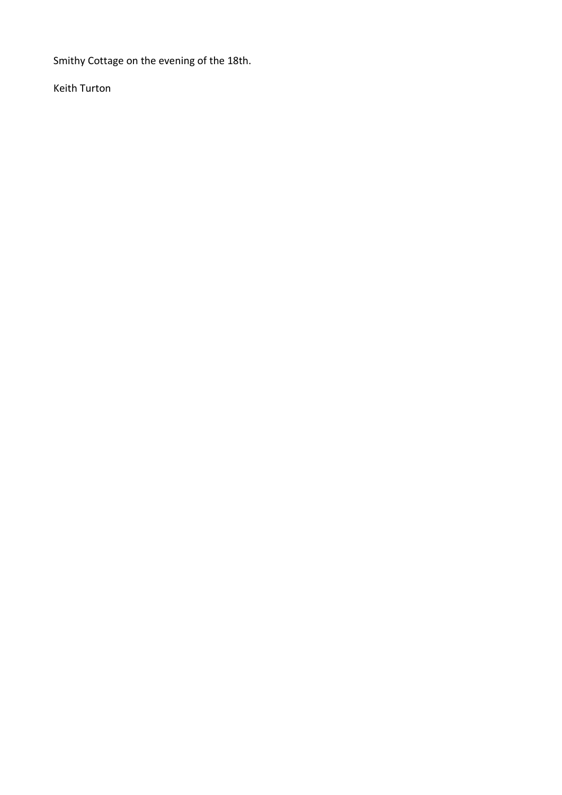Smithy Cottage on the evening of the 18th.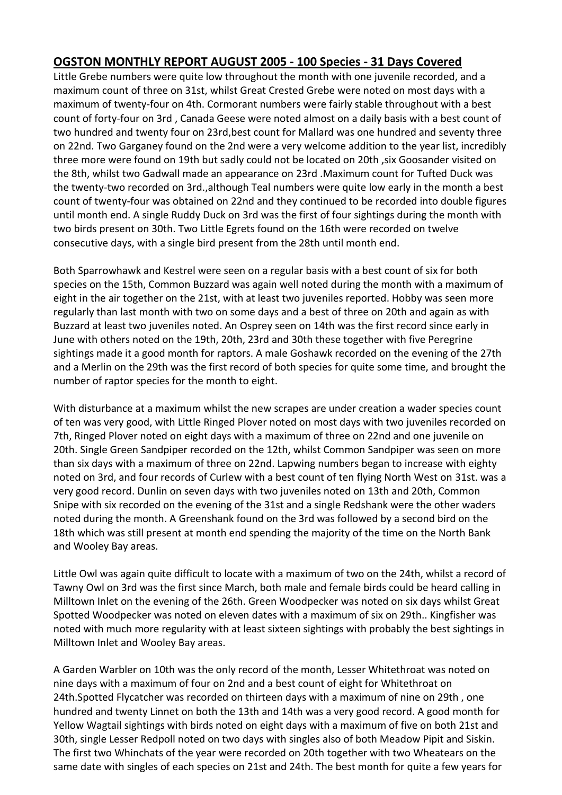# **OGSTON MONTHLY REPORT AUGUST 2005 - 100 Species - 31 Days Covered**

Little Grebe numbers were quite low throughout the month with one juvenile recorded, and a maximum count of three on 31st, whilst Great Crested Grebe were noted on most days with a maximum of twenty-four on 4th. Cormorant numbers were fairly stable throughout with a best count of forty-four on 3rd , Canada Geese were noted almost on a daily basis with a best count of two hundred and twenty four on 23rd,best count for Mallard was one hundred and seventy three on 22nd. Two Garganey found on the 2nd were a very welcome addition to the year list, incredibly three more were found on 19th but sadly could not be located on 20th ,six Goosander visited on the 8th, whilst two Gadwall made an appearance on 23rd .Maximum count for Tufted Duck was the twenty-two recorded on 3rd.,although Teal numbers were quite low early in the month a best count of twenty-four was obtained on 22nd and they continued to be recorded into double figures until month end. A single Ruddy Duck on 3rd was the first of four sightings during the month with two birds present on 30th. Two Little Egrets found on the 16th were recorded on twelve consecutive days, with a single bird present from the 28th until month end.

Both Sparrowhawk and Kestrel were seen on a regular basis with a best count of six for both species on the 15th, Common Buzzard was again well noted during the month with a maximum of eight in the air together on the 21st, with at least two juveniles reported. Hobby was seen more regularly than last month with two on some days and a best of three on 20th and again as with Buzzard at least two juveniles noted. An Osprey seen on 14th was the first record since early in June with others noted on the 19th, 20th, 23rd and 30th these together with five Peregrine sightings made it a good month for raptors. A male Goshawk recorded on the evening of the 27th and a Merlin on the 29th was the first record of both species for quite some time, and brought the number of raptor species for the month to eight.

With disturbance at a maximum whilst the new scrapes are under creation a wader species count of ten was very good, with Little Ringed Plover noted on most days with two juveniles recorded on 7th, Ringed Plover noted on eight days with a maximum of three on 22nd and one juvenile on 20th. Single Green Sandpiper recorded on the 12th, whilst Common Sandpiper was seen on more than six days with a maximum of three on 22nd. Lapwing numbers began to increase with eighty noted on 3rd, and four records of Curlew with a best count of ten flying North West on 31st. was a very good record. Dunlin on seven days with two juveniles noted on 13th and 20th, Common Snipe with six recorded on the evening of the 31st and a single Redshank were the other waders noted during the month. A Greenshank found on the 3rd was followed by a second bird on the 18th which was still present at month end spending the majority of the time on the North Bank and Wooley Bay areas.

Little Owl was again quite difficult to locate with a maximum of two on the 24th, whilst a record of Tawny Owl on 3rd was the first since March, both male and female birds could be heard calling in Milltown Inlet on the evening of the 26th. Green Woodpecker was noted on six days whilst Great Spotted Woodpecker was noted on eleven dates with a maximum of six on 29th.. Kingfisher was noted with much more regularity with at least sixteen sightings with probably the best sightings in Milltown Inlet and Wooley Bay areas.

A Garden Warbler on 10th was the only record of the month, Lesser Whitethroat was noted on nine days with a maximum of four on 2nd and a best count of eight for Whitethroat on 24th.Spotted Flycatcher was recorded on thirteen days with a maximum of nine on 29th , one hundred and twenty Linnet on both the 13th and 14th was a very good record. A good month for Yellow Wagtail sightings with birds noted on eight days with a maximum of five on both 21st and 30th, single Lesser Redpoll noted on two days with singles also of both Meadow Pipit and Siskin. The first two Whinchats of the year were recorded on 20th together with two Wheatears on the same date with singles of each species on 21st and 24th. The best month for quite a few years for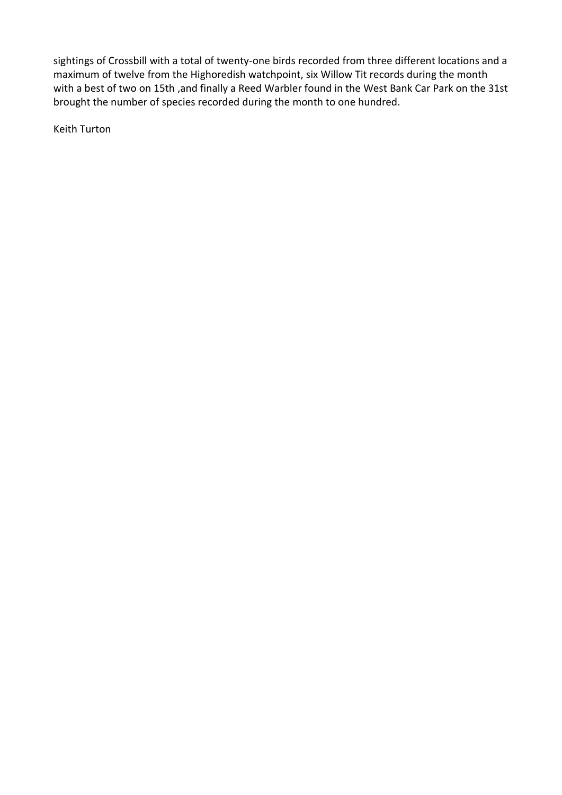sightings of Crossbill with a total of twenty-one birds recorded from three different locations and a maximum of twelve from the Highoredish watchpoint, six Willow Tit records during the month with a best of two on 15th ,and finally a Reed Warbler found in the West Bank Car Park on the 31st brought the number of species recorded during the month to one hundred.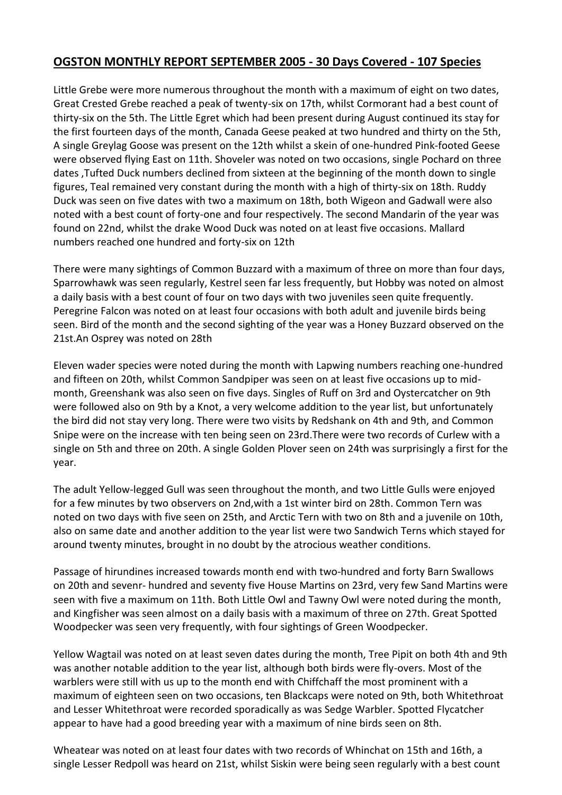## **OGSTON MONTHLY REPORT SEPTEMBER 2005 - 30 Days Covered - 107 Species**

Little Grebe were more numerous throughout the month with a maximum of eight on two dates, Great Crested Grebe reached a peak of twenty-six on 17th, whilst Cormorant had a best count of thirty-six on the 5th. The Little Egret which had been present during August continued its stay for the first fourteen days of the month, Canada Geese peaked at two hundred and thirty on the 5th, A single Greylag Goose was present on the 12th whilst a skein of one-hundred Pink-footed Geese were observed flying East on 11th. Shoveler was noted on two occasions, single Pochard on three dates ,Tufted Duck numbers declined from sixteen at the beginning of the month down to single figures, Teal remained very constant during the month with a high of thirty-six on 18th. Ruddy Duck was seen on five dates with two a maximum on 18th, both Wigeon and Gadwall were also noted with a best count of forty-one and four respectively. The second Mandarin of the year was found on 22nd, whilst the drake Wood Duck was noted on at least five occasions. Mallard numbers reached one hundred and forty-six on 12th

There were many sightings of Common Buzzard with a maximum of three on more than four days, Sparrowhawk was seen regularly, Kestrel seen far less frequently, but Hobby was noted on almost a daily basis with a best count of four on two days with two juveniles seen quite frequently. Peregrine Falcon was noted on at least four occasions with both adult and juvenile birds being seen. Bird of the month and the second sighting of the year was a Honey Buzzard observed on the 21st.An Osprey was noted on 28th

Eleven wader species were noted during the month with Lapwing numbers reaching one-hundred and fifteen on 20th, whilst Common Sandpiper was seen on at least five occasions up to midmonth, Greenshank was also seen on five days. Singles of Ruff on 3rd and Oystercatcher on 9th were followed also on 9th by a Knot, a very welcome addition to the year list, but unfortunately the bird did not stay very long. There were two visits by Redshank on 4th and 9th, and Common Snipe were on the increase with ten being seen on 23rd.There were two records of Curlew with a single on 5th and three on 20th. A single Golden Plover seen on 24th was surprisingly a first for the year.

The adult Yellow-legged Gull was seen throughout the month, and two Little Gulls were enjoyed for a few minutes by two observers on 2nd,with a 1st winter bird on 28th. Common Tern was noted on two days with five seen on 25th, and Arctic Tern with two on 8th and a juvenile on 10th, also on same date and another addition to the year list were two Sandwich Terns which stayed for around twenty minutes, brought in no doubt by the atrocious weather conditions.

Passage of hirundines increased towards month end with two-hundred and forty Barn Swallows on 20th and sevenr- hundred and seventy five House Martins on 23rd, very few Sand Martins were seen with five a maximum on 11th. Both Little Owl and Tawny Owl were noted during the month, and Kingfisher was seen almost on a daily basis with a maximum of three on 27th. Great Spotted Woodpecker was seen very frequently, with four sightings of Green Woodpecker.

Yellow Wagtail was noted on at least seven dates during the month, Tree Pipit on both 4th and 9th was another notable addition to the year list, although both birds were fly-overs. Most of the warblers were still with us up to the month end with Chiffchaff the most prominent with a maximum of eighteen seen on two occasions, ten Blackcaps were noted on 9th, both Whitethroat and Lesser Whitethroat were recorded sporadically as was Sedge Warbler. Spotted Flycatcher appear to have had a good breeding year with a maximum of nine birds seen on 8th.

Wheatear was noted on at least four dates with two records of Whinchat on 15th and 16th, a single Lesser Redpoll was heard on 21st, whilst Siskin were being seen regularly with a best count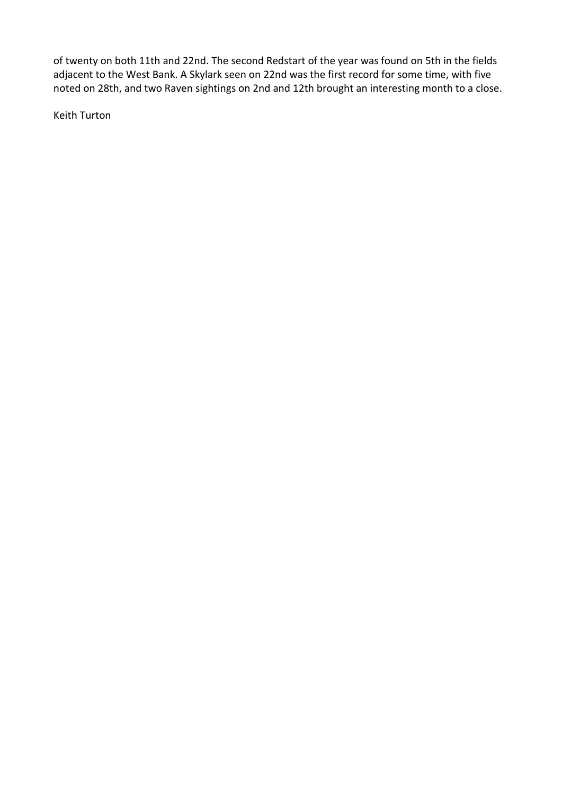of twenty on both 11th and 22nd. The second Redstart of the year was found on 5th in the fields adjacent to the West Bank. A Skylark seen on 22nd was the first record for some time, with five noted on 28th, and two Raven sightings on 2nd and 12th brought an interesting month to a close.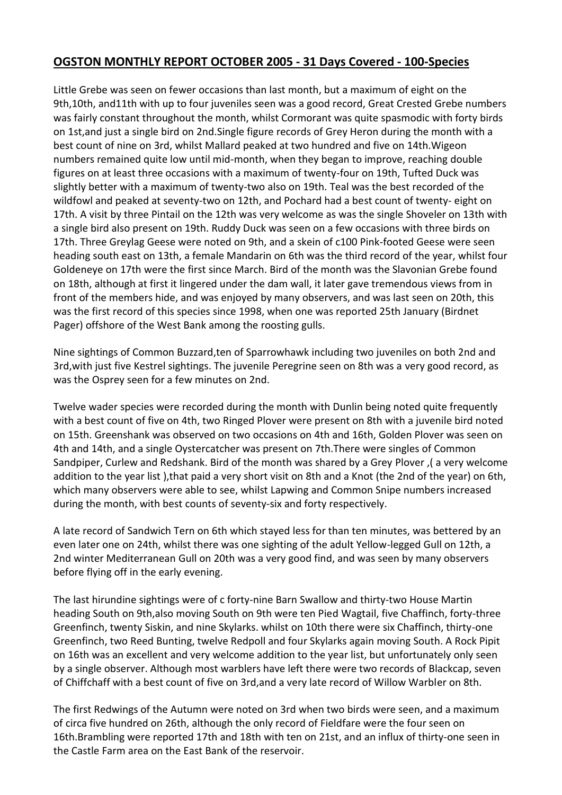# **OGSTON MONTHLY REPORT OCTOBER 2005 - 31 Days Covered - 100-Species**

Little Grebe was seen on fewer occasions than last month, but a maximum of eight on the 9th,10th, and11th with up to four juveniles seen was a good record, Great Crested Grebe numbers was fairly constant throughout the month, whilst Cormorant was quite spasmodic with forty birds on 1st,and just a single bird on 2nd.Single figure records of Grey Heron during the month with a best count of nine on 3rd, whilst Mallard peaked at two hundred and five on 14th.Wigeon numbers remained quite low until mid-month, when they began to improve, reaching double figures on at least three occasions with a maximum of twenty-four on 19th, Tufted Duck was slightly better with a maximum of twenty-two also on 19th. Teal was the best recorded of the wildfowl and peaked at seventy-two on 12th, and Pochard had a best count of twenty- eight on 17th. A visit by three Pintail on the 12th was very welcome as was the single Shoveler on 13th with a single bird also present on 19th. Ruddy Duck was seen on a few occasions with three birds on 17th. Three Greylag Geese were noted on 9th, and a skein of c100 Pink-footed Geese were seen heading south east on 13th, a female Mandarin on 6th was the third record of the year, whilst four Goldeneye on 17th were the first since March. Bird of the month was the Slavonian Grebe found on 18th, although at first it lingered under the dam wall, it later gave tremendous views from in front of the members hide, and was enjoyed by many observers, and was last seen on 20th, this was the first record of this species since 1998, when one was reported 25th January (Birdnet Pager) offshore of the West Bank among the roosting gulls.

Nine sightings of Common Buzzard,ten of Sparrowhawk including two juveniles on both 2nd and 3rd,with just five Kestrel sightings. The juvenile Peregrine seen on 8th was a very good record, as was the Osprey seen for a few minutes on 2nd.

Twelve wader species were recorded during the month with Dunlin being noted quite frequently with a best count of five on 4th, two Ringed Plover were present on 8th with a juvenile bird noted on 15th. Greenshank was observed on two occasions on 4th and 16th, Golden Plover was seen on 4th and 14th, and a single Oystercatcher was present on 7th.There were singles of Common Sandpiper, Curlew and Redshank. Bird of the month was shared by a Grey Plover ,( a very welcome addition to the year list ),that paid a very short visit on 8th and a Knot (the 2nd of the year) on 6th, which many observers were able to see, whilst Lapwing and Common Snipe numbers increased during the month, with best counts of seventy-six and forty respectively.

A late record of Sandwich Tern on 6th which stayed less for than ten minutes, was bettered by an even later one on 24th, whilst there was one sighting of the adult Yellow-legged Gull on 12th, a 2nd winter Mediterranean Gull on 20th was a very good find, and was seen by many observers before flying off in the early evening.

The last hirundine sightings were of c forty-nine Barn Swallow and thirty-two House Martin heading South on 9th,also moving South on 9th were ten Pied Wagtail, five Chaffinch, forty-three Greenfinch, twenty Siskin, and nine Skylarks. whilst on 10th there were six Chaffinch, thirty-one Greenfinch, two Reed Bunting, twelve Redpoll and four Skylarks again moving South. A Rock Pipit on 16th was an excellent and very welcome addition to the year list, but unfortunately only seen by a single observer. Although most warblers have left there were two records of Blackcap, seven of Chiffchaff with a best count of five on 3rd,and a very late record of Willow Warbler on 8th.

The first Redwings of the Autumn were noted on 3rd when two birds were seen, and a maximum of circa five hundred on 26th, although the only record of Fieldfare were the four seen on 16th.Brambling were reported 17th and 18th with ten on 21st, and an influx of thirty-one seen in the Castle Farm area on the East Bank of the reservoir.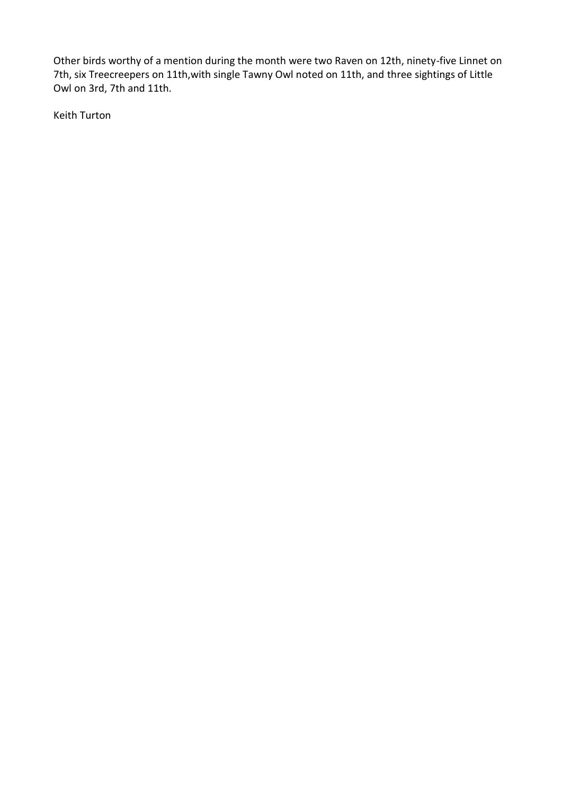Other birds worthy of a mention during the month were two Raven on 12th, ninety-five Linnet on 7th, six Treecreepers on 11th,with single Tawny Owl noted on 11th, and three sightings of Little Owl on 3rd, 7th and 11th.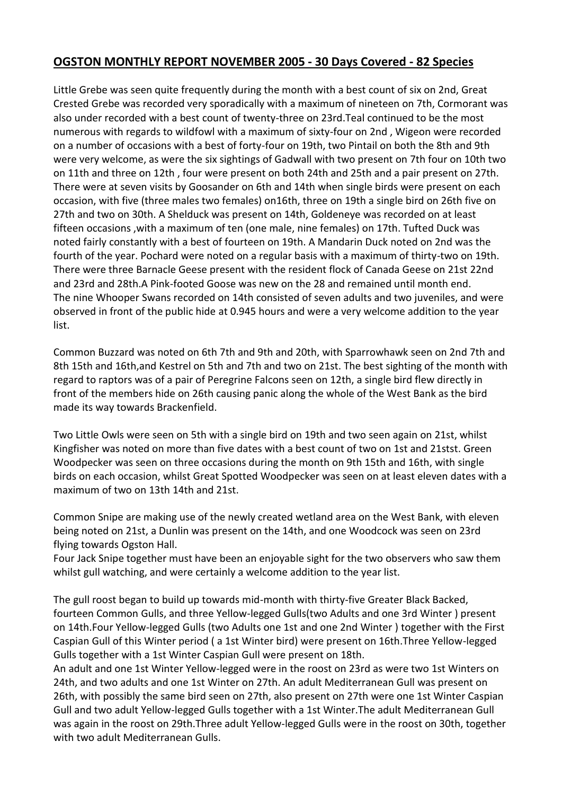### **OGSTON MONTHLY REPORT NOVEMBER 2005 - 30 Days Covered - 82 Species**

Little Grebe was seen quite frequently during the month with a best count of six on 2nd, Great Crested Grebe was recorded very sporadically with a maximum of nineteen on 7th, Cormorant was also under recorded with a best count of twenty-three on 23rd.Teal continued to be the most numerous with regards to wildfowl with a maximum of sixty-four on 2nd , Wigeon were recorded on a number of occasions with a best of forty-four on 19th, two Pintail on both the 8th and 9th were very welcome, as were the six sightings of Gadwall with two present on 7th four on 10th two on 11th and three on 12th , four were present on both 24th and 25th and a pair present on 27th. There were at seven visits by Goosander on 6th and 14th when single birds were present on each occasion, with five (three males two females) on16th, three on 19th a single bird on 26th five on 27th and two on 30th. A Shelduck was present on 14th, Goldeneye was recorded on at least fifteen occasions ,with a maximum of ten (one male, nine females) on 17th. Tufted Duck was noted fairly constantly with a best of fourteen on 19th. A Mandarin Duck noted on 2nd was the fourth of the year. Pochard were noted on a regular basis with a maximum of thirty-two on 19th. There were three Barnacle Geese present with the resident flock of Canada Geese on 21st 22nd and 23rd and 28th.A Pink-footed Goose was new on the 28 and remained until month end. The nine Whooper Swans recorded on 14th consisted of seven adults and two juveniles, and were observed in front of the public hide at 0.945 hours and were a very welcome addition to the year list.

Common Buzzard was noted on 6th 7th and 9th and 20th, with Sparrowhawk seen on 2nd 7th and 8th 15th and 16th,and Kestrel on 5th and 7th and two on 21st. The best sighting of the month with regard to raptors was of a pair of Peregrine Falcons seen on 12th, a single bird flew directly in front of the members hide on 26th causing panic along the whole of the West Bank as the bird made its way towards Brackenfield.

Two Little Owls were seen on 5th with a single bird on 19th and two seen again on 21st, whilst Kingfisher was noted on more than five dates with a best count of two on 1st and 21stst. Green Woodpecker was seen on three occasions during the month on 9th 15th and 16th, with single birds on each occasion, whilst Great Spotted Woodpecker was seen on at least eleven dates with a maximum of two on 13th 14th and 21st.

Common Snipe are making use of the newly created wetland area on the West Bank, with eleven being noted on 21st, a Dunlin was present on the 14th, and one Woodcock was seen on 23rd flying towards Ogston Hall.

Four Jack Snipe together must have been an enjoyable sight for the two observers who saw them whilst gull watching, and were certainly a welcome addition to the year list.

The gull roost began to build up towards mid-month with thirty-five Greater Black Backed, fourteen Common Gulls, and three Yellow-legged Gulls(two Adults and one 3rd Winter ) present on 14th.Four Yellow-legged Gulls (two Adults one 1st and one 2nd Winter ) together with the First Caspian Gull of this Winter period ( a 1st Winter bird) were present on 16th.Three Yellow-legged Gulls together with a 1st Winter Caspian Gull were present on 18th.

An adult and one 1st Winter Yellow-legged were in the roost on 23rd as were two 1st Winters on 24th, and two adults and one 1st Winter on 27th. An adult Mediterranean Gull was present on 26th, with possibly the same bird seen on 27th, also present on 27th were one 1st Winter Caspian Gull and two adult Yellow-legged Gulls together with a 1st Winter.The adult Mediterranean Gull was again in the roost on 29th.Three adult Yellow-legged Gulls were in the roost on 30th, together with two adult Mediterranean Gulls.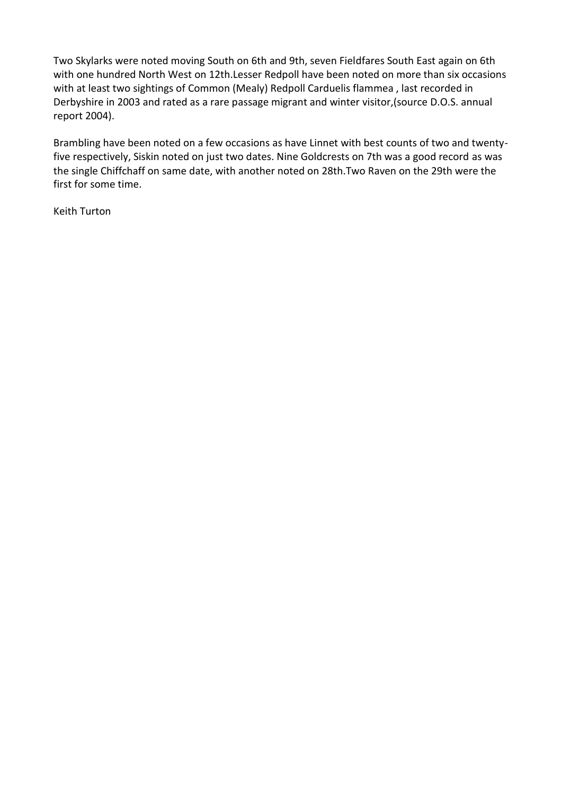Two Skylarks were noted moving South on 6th and 9th, seven Fieldfares South East again on 6th with one hundred North West on 12th.Lesser Redpoll have been noted on more than six occasions with at least two sightings of Common (Mealy) Redpoll Carduelis flammea , last recorded in Derbyshire in 2003 and rated as a rare passage migrant and winter visitor,(source D.O.S. annual report 2004).

Brambling have been noted on a few occasions as have Linnet with best counts of two and twentyfive respectively, Siskin noted on just two dates. Nine Goldcrests on 7th was a good record as was the single Chiffchaff on same date, with another noted on 28th.Two Raven on the 29th were the first for some time.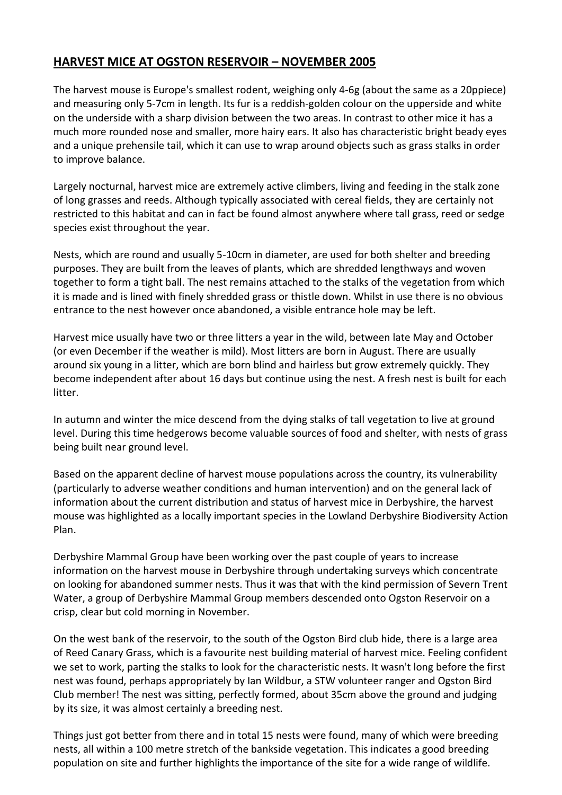# **HARVEST MICE AT OGSTON RESERVOIR – NOVEMBER 2005**

The harvest mouse is Europe's smallest rodent, weighing only 4-6g (about the same as a 20ppiece) and measuring only 5-7cm in length. Its fur is a reddish-golden colour on the upperside and white on the underside with a sharp division between the two areas. In contrast to other mice it has a much more rounded nose and smaller, more hairy ears. It also has characteristic bright beady eyes and a unique prehensile tail, which it can use to wrap around objects such as grass stalks in order to improve balance.

Largely nocturnal, harvest mice are extremely active climbers, living and feeding in the stalk zone of long grasses and reeds. Although typically associated with cereal fields, they are certainly not restricted to this habitat and can in fact be found almost anywhere where tall grass, reed or sedge species exist throughout the year.

Nests, which are round and usually 5-10cm in diameter, are used for both shelter and breeding purposes. They are built from the leaves of plants, which are shredded lengthways and woven together to form a tight ball. The nest remains attached to the stalks of the vegetation from which it is made and is lined with finely shredded grass or thistle down. Whilst in use there is no obvious entrance to the nest however once abandoned, a visible entrance hole may be left.

Harvest mice usually have two or three litters a year in the wild, between late May and October (or even December if the weather is mild). Most litters are born in August. There are usually around six young in a litter, which are born blind and hairless but grow extremely quickly. They become independent after about 16 days but continue using the nest. A fresh nest is built for each litter.

In autumn and winter the mice descend from the dying stalks of tall vegetation to live at ground level. During this time hedgerows become valuable sources of food and shelter, with nests of grass being built near ground level.

Based on the apparent decline of harvest mouse populations across the country, its vulnerability (particularly to adverse weather conditions and human intervention) and on the general lack of information about the current distribution and status of harvest mice in Derbyshire, the harvest mouse was highlighted as a locally important species in the Lowland Derbyshire Biodiversity Action Plan.

Derbyshire Mammal Group have been working over the past couple of years to increase information on the harvest mouse in Derbyshire through undertaking surveys which concentrate on looking for abandoned summer nests. Thus it was that with the kind permission of Severn Trent Water, a group of Derbyshire Mammal Group members descended onto Ogston Reservoir on a crisp, clear but cold morning in November.

On the west bank of the reservoir, to the south of the Ogston Bird club hide, there is a large area of Reed Canary Grass, which is a favourite nest building material of harvest mice. Feeling confident we set to work, parting the stalks to look for the characteristic nests. It wasn't long before the first nest was found, perhaps appropriately by Ian Wildbur, a STW volunteer ranger and Ogston Bird Club member! The nest was sitting, perfectly formed, about 35cm above the ground and judging by its size, it was almost certainly a breeding nest.

Things just got better from there and in total 15 nests were found, many of which were breeding nests, all within a 100 metre stretch of the bankside vegetation. This indicates a good breeding population on site and further highlights the importance of the site for a wide range of wildlife.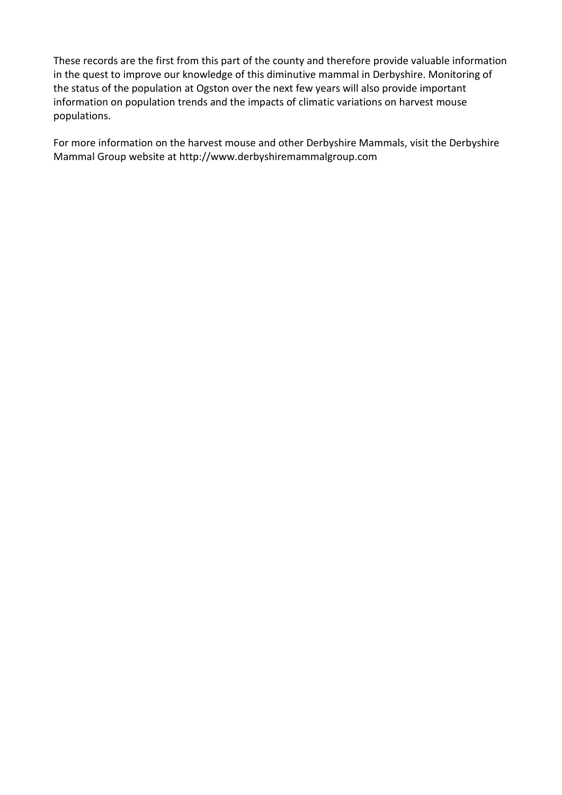These records are the first from this part of the county and therefore provide valuable information in the quest to improve our knowledge of this diminutive mammal in Derbyshire. Monitoring of the status of the population at Ogston over the next few years will also provide important information on population trends and the impacts of climatic variations on harvest mouse populations.

For more information on the harvest mouse and other Derbyshire Mammals, visit the Derbyshire Mammal Group website at http://www.derbyshiremammalgroup.com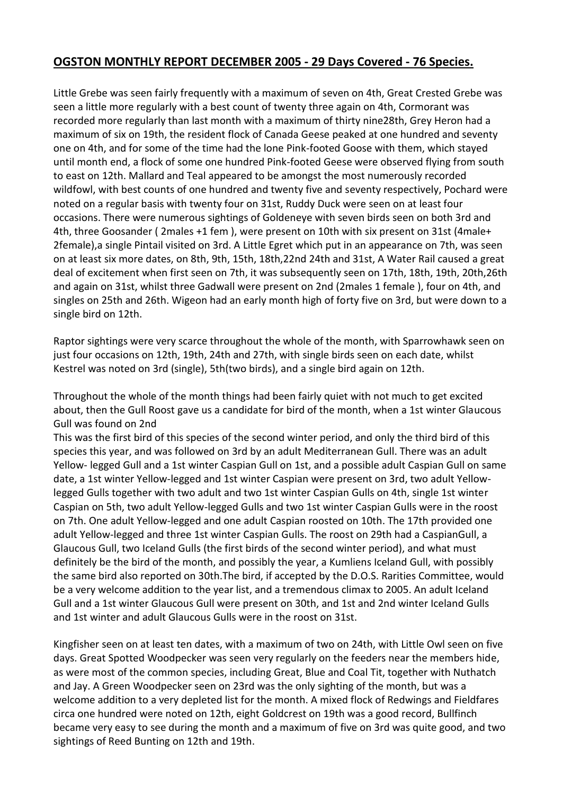### **OGSTON MONTHLY REPORT DECEMBER 2005 - 29 Days Covered - 76 Species.**

Little Grebe was seen fairly frequently with a maximum of seven on 4th, Great Crested Grebe was seen a little more regularly with a best count of twenty three again on 4th, Cormorant was recorded more regularly than last month with a maximum of thirty nine28th, Grey Heron had a maximum of six on 19th, the resident flock of Canada Geese peaked at one hundred and seventy one on 4th, and for some of the time had the lone Pink-footed Goose with them, which stayed until month end, a flock of some one hundred Pink-footed Geese were observed flying from south to east on 12th. Mallard and Teal appeared to be amongst the most numerously recorded wildfowl, with best counts of one hundred and twenty five and seventy respectively, Pochard were noted on a regular basis with twenty four on 31st, Ruddy Duck were seen on at least four occasions. There were numerous sightings of Goldeneye with seven birds seen on both 3rd and 4th, three Goosander ( 2males +1 fem ), were present on 10th with six present on 31st (4male+ 2female),a single Pintail visited on 3rd. A Little Egret which put in an appearance on 7th, was seen on at least six more dates, on 8th, 9th, 15th, 18th,22nd 24th and 31st, A Water Rail caused a great deal of excitement when first seen on 7th, it was subsequently seen on 17th, 18th, 19th, 20th,26th and again on 31st, whilst three Gadwall were present on 2nd (2males 1 female ), four on 4th, and singles on 25th and 26th. Wigeon had an early month high of forty five on 3rd, but were down to a single bird on 12th.

Raptor sightings were very scarce throughout the whole of the month, with Sparrowhawk seen on just four occasions on 12th, 19th, 24th and 27th, with single birds seen on each date, whilst Kestrel was noted on 3rd (single), 5th(two birds), and a single bird again on 12th.

Throughout the whole of the month things had been fairly quiet with not much to get excited about, then the Gull Roost gave us a candidate for bird of the month, when a 1st winter Glaucous Gull was found on 2nd

This was the first bird of this species of the second winter period, and only the third bird of this species this year, and was followed on 3rd by an adult Mediterranean Gull. There was an adult Yellow- legged Gull and a 1st winter Caspian Gull on 1st, and a possible adult Caspian Gull on same date, a 1st winter Yellow-legged and 1st winter Caspian were present on 3rd, two adult Yellowlegged Gulls together with two adult and two 1st winter Caspian Gulls on 4th, single 1st winter Caspian on 5th, two adult Yellow-legged Gulls and two 1st winter Caspian Gulls were in the roost on 7th. One adult Yellow-legged and one adult Caspian roosted on 10th. The 17th provided one adult Yellow-legged and three 1st winter Caspian Gulls. The roost on 29th had a CaspianGull, a Glaucous Gull, two Iceland Gulls (the first birds of the second winter period), and what must definitely be the bird of the month, and possibly the year, a Kumliens Iceland Gull, with possibly the same bird also reported on 30th.The bird, if accepted by the D.O.S. Rarities Committee, would be a very welcome addition to the year list, and a tremendous climax to 2005. An adult Iceland Gull and a 1st winter Glaucous Gull were present on 30th, and 1st and 2nd winter Iceland Gulls and 1st winter and adult Glaucous Gulls were in the roost on 31st.

Kingfisher seen on at least ten dates, with a maximum of two on 24th, with Little Owl seen on five days. Great Spotted Woodpecker was seen very regularly on the feeders near the members hide, as were most of the common species, including Great, Blue and Coal Tit, together with Nuthatch and Jay. A Green Woodpecker seen on 23rd was the only sighting of the month, but was a welcome addition to a very depleted list for the month. A mixed flock of Redwings and Fieldfares circa one hundred were noted on 12th, eight Goldcrest on 19th was a good record, Bullfinch became very easy to see during the month and a maximum of five on 3rd was quite good, and two sightings of Reed Bunting on 12th and 19th.